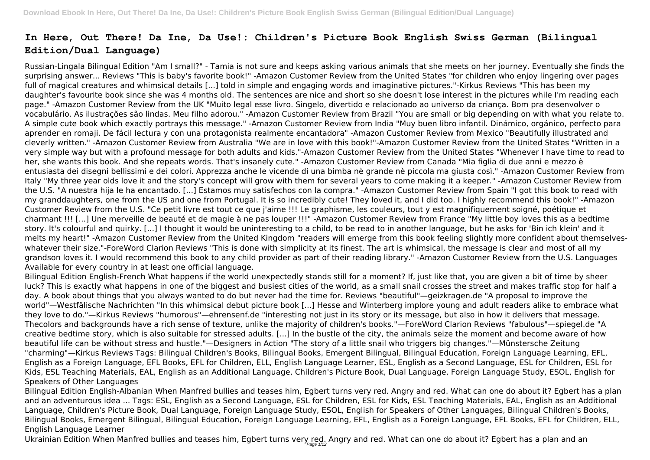## **In Here, Out There! Da Ine, Da Use!: Children's Picture Book English Swiss German (Bilingual Edition/Dual Language)**

Russian-Lingala Bilingual Edition "Am I small?" - Tamia is not sure and keeps asking various animals that she meets on her journey. Eventually she finds the surprising answer... Reviews "This is baby's favorite book!" -Amazon Customer Review from the United States "for children who enjoy lingering over pages full of magical creatures and whimsical details [...] told in simple and engaging words and imaginative pictures."-Kirkus Reviews "This has been my daughter's favourite book since she was 4 months old. The sentences are nice and short so she doesn't lose interest in the pictures while I'm reading each page." -Amazon Customer Review from the UK "Muito legal esse livro. Singelo, divertido e relacionado ao universo da criança. Bom pra desenvolver o vocabulário. As ilustrações são lindas. Meu filho adorou." -Amazon Customer Review from Brazil "You are small or big depending on with what you relate to. A simple cute book which exactly portrays this message." -Amazon Customer Review from India "Muy buen libro infantil. Dinámico, orgánico, perfecto para aprender en romaji. De fácil lectura y con una protagonista realmente encantadora" -Amazon Customer Review from Mexico "Beautifully illustrated and cleverly written." -Amazon Customer Review from Australia "We are in love with this book!"-Amazon Customer Review from the United States "Written in a very simple way but with a profound message for both adults and kids."-Amazon Customer Review from the United States "Whenever I have time to read to her, she wants this book. And she repeats words. That's insanely cute." -Amazon Customer Review from Canada "Mia figlia di due anni e mezzo è entusiasta dei disegni bellissimi e dei colori. Apprezza anche le vicende di una bimba nè grande nè piccola ma giusta così." -Amazon Customer Review from Italy "My three year olds love it and the story's concept will grow with them for several years to come making it a keeper." -Amazon Customer Review from the U.S. "A nuestra hija le ha encantado. [...] Estamos muy satisfechos con la compra." -Amazon Customer Review from Spain "I got this book to read with my granddaughters, one from the US and one from Portugal. It is so incredibly cute! They loved it, and I did too. I highly recommend this book!" -Amazon Customer Review from the U.S. "Ce petit livre est tout ce que j'aime !!! Le graphisme, les couleurs, tout y est magnifiquement soigné, poétique et charmant !!! [...] Une merveille de beauté et de magie à ne pas louper !!!" -Amazon Customer Review from France "My little boy loves this as a bedtime story. It's colourful and quirky. [...] I thought it would be uninteresting to a child, to be read to in another language, but he asks for 'Bin ich klein' and it melts my heart!" -Amazon Customer Review from the United Kingdom "readers will emerge from this book feeling slightly more confident about themselveswhatever their size."-ForeWord Clarion Reviews "This is done with simplicity at its finest. The art is whimsical, the message is clear and most of all my grandson loves it. I would recommend this book to any child provider as part of their reading library." -Amazon Customer Review from the U.S. Languages Available for every country in at least one official language.

Bilingual Edition English-French What happens if the world unexpectedly stands still for a moment? If, just like that, you are given a bit of time by sheer luck? This is exactly what happens in one of the biggest and busiest cities of the world, as a small snail crosses the street and makes traffic stop for half a day. A book about things that you always wanted to do but never had the time for. Reviews "beautiful"—geizkragen.de "A proposal to improve the world"—Westfälische Nachrichten "In this whimsical debut picture book [...] Hesse and Winterberg implore young and adult readers alike to embrace what they love to do."—Kirkus Reviews "humorous"—ehrensenf.de "interesting not just in its story or its message, but also in how it delivers that message. Thecolors and backgrounds have a rich sense of texture, unlike the majority of children's books."—ForeWord Clarion Reviews "fabulous"—spiegel.de "A creative bedtime story, which is also suitable for stressed adults. [...] In the bustle of the city, the animals seize the moment and become aware of how beautiful life can be without stress and hustle."—Designers in Action "The story of a little snail who triggers big changes."—Münstersche Zeitung "charming"—Kirkus Reviews Tags: Bilingual Children's Books, Bilingual Books, Emergent Bilingual, Bilingual Education, Foreign Language Learning, EFL, English as a Foreign Language, EFL Books, EFL for Children, ELL, English Language Learner, ESL, English as a Second Language, ESL for Children, ESL for Kids, ESL Teaching Materials, EAL, English as an Additional Language, Children's Picture Book, Dual Language, Foreign Language Study, ESOL, English for Speakers of Other Languages

Bilingual Edition English-Albanian When Manfred bullies and teases him, Egbert turns very red. Angry and red. What can one do about it? Egbert has a plan and an adventurous idea ... Tags: ESL, English as a Second Language, ESL for Children, ESL for Kids, ESL Teaching Materials, EAL, English as an Additional Language, Children's Picture Book, Dual Language, Foreign Language Study, ESOL, English for Speakers of Other Languages, Bilingual Children's Books, Bilingual Books, Emergent Bilingual, Bilingual Education, Foreign Language Learning, EFL, English as a Foreign Language, EFL Books, EFL for Children, ELL, English Language Learner

Ukrainian Edition When Manfred bullies and teases him, Egbert turns very red. Angry and red. What can one do about it? Egbert has a plan and an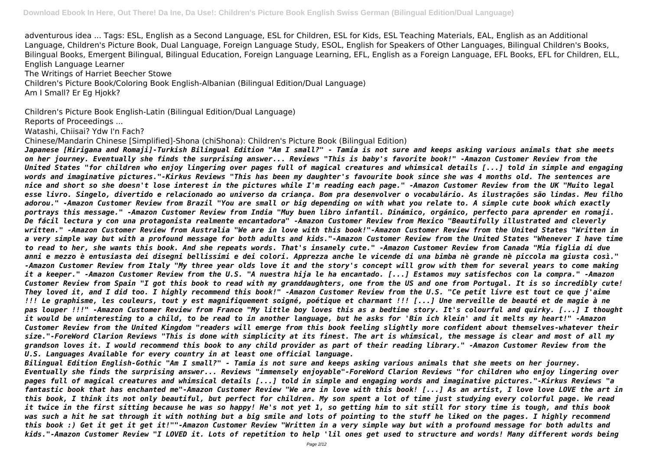adventurous idea ... Tags: ESL, English as a Second Language, ESL for Children, ESL for Kids, ESL Teaching Materials, EAL, English as an Additional Language, Children's Picture Book, Dual Language, Foreign Language Study, ESOL, English for Speakers of Other Languages, Bilingual Children's Books, Bilingual Books, Emergent Bilingual, Bilingual Education, Foreign Language Learning, EFL, English as a Foreign Language, EFL Books, EFL for Children, ELL, English Language Learner

The Writings of Harriet Beecher Stowe

Children's Picture Book/Coloring Book English-Albanian (Bilingual Edition/Dual Language)

Am I Small? Er Eg Hjokk?

Children's Picture Book English-Latin (Bilingual Edition/Dual Language)

Reports of Proceedings ...

Watashi, Chiisai? Ydw I'n Fach?

Chinese/Mandarin Chinese [Simplified]-Shona (chiShona): Children's Picture Book (Bilingual Edition)

*Japanese [Hirigana and Romaji]-Turkish Bilingual Edition "Am I small?" - Tamia is not sure and keeps asking various animals that she meets on her journey. Eventually she finds the surprising answer... Reviews "This is baby's favorite book!" -Amazon Customer Review from the United States "for children who enjoy lingering over pages full of magical creatures and whimsical details [...] told in simple and engaging words and imaginative pictures."-Kirkus Reviews "This has been my daughter's favourite book since she was 4 months old. The sentences are nice and short so she doesn't lose interest in the pictures while I'm reading each page." -Amazon Customer Review from the UK "Muito legal esse livro. Singelo, divertido e relacionado ao universo da criança. Bom pra desenvolver o vocabulário. As ilustrações são lindas. Meu filho adorou." -Amazon Customer Review from Brazil "You are small or big depending on with what you relate to. A simple cute book which exactly portrays this message." -Amazon Customer Review from India "Muy buen libro infantil. Dinámico, orgánico, perfecto para aprender en romaji. De fácil lectura y con una protagonista realmente encantadora" -Amazon Customer Review from Mexico "Beautifully illustrated and cleverly written." -Amazon Customer Review from Australia "We are in love with this book!"-Amazon Customer Review from the United States "Written in a very simple way but with a profound message for both adults and kids."-Amazon Customer Review from the United States "Whenever I have time to read to her, she wants this book. And she repeats words. That's insanely cute." -Amazon Customer Review from Canada "Mia figlia di due anni e mezzo è entusiasta dei disegni bellissimi e dei colori. Apprezza anche le vicende di una bimba nè grande nè piccola ma giusta così." -Amazon Customer Review from Italy "My three year olds love it and the story's concept will grow with them for several years to come making it a keeper." -Amazon Customer Review from the U.S. "A nuestra hija le ha encantado. [...] Estamos muy satisfechos con la compra." -Amazon Customer Review from Spain "I got this book to read with my granddaughters, one from the US and one from Portugal. It is so incredibly cute! They loved it, and I did too. I highly recommend this book!" -Amazon Customer Review from the U.S. "Ce petit livre est tout ce que j'aime !!! Le graphisme, les couleurs, tout y est magnifiquement soigné, poétique et charmant !!! [...] Une merveille de beauté et de magie à ne pas louper !!!" -Amazon Customer Review from France "My little boy loves this as a bedtime story. It's colourful and quirky. [...] I thought it would be uninteresting to a child, to be read to in another language, but he asks for 'Bin ich klein' and it melts my heart!" -Amazon Customer Review from the United Kingdom "readers will emerge from this book feeling slightly more confident about themselves-whatever their size."-ForeWord Clarion Reviews "This is done with simplicity at its finest. The art is whimsical, the message is clear and most of all my grandson loves it. I would recommend this book to any child provider as part of their reading library." -Amazon Customer Review from the U.S. Languages Available for every country in at least one official language.*

*Bilingual Edition English-Gothic "Am I small?" - Tamia is not sure and keeps asking various animals that she meets on her journey. Eventually she finds the surprising answer... Reviews "immensely enjoyable"-ForeWord Clarion Reviews "for children who enjoy lingering over pages full of magical creatures and whimsical details [...] told in simple and engaging words and imaginative pictures."-Kirkus Reviews "a fantastic book that has enchanted me"-Amazon Customer Review "We are in love with this book! [...] As an artist, I love love LOVE the art in this book, I think its not only beautiful, but perfect for children. My son spent a lot of time just studying every colorful page. We read it twice in the first sitting because he was so happy! He's not yet 1, so getting him to sit still for story time is tough, and this book was such a hit he sat through it with nothing but a big smile and lots of pointing to the stuff he liked on the pages. I highly recommend this book :) Get it get it get it!""-Amazon Customer Review "Written in a very simple way but with a profound message for both adults and kids."-Amazon Customer Review "I LOVED it. Lots of repetition to help 'lil ones get used to structure and words! Many different words being*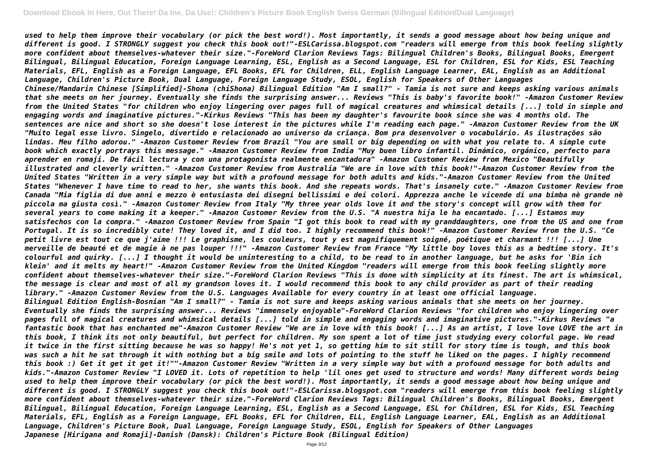*used to help them improve their vocabulary (or pick the best word!). Most importantly, it sends a good message about how being unique and different is good. I STRONGLY suggest you check this book out!"-ESLCarissa.blogspot.com "readers will emerge from this book feeling slightly more confident about themselves-whatever their size."-ForeWord Clarion Reviews Tags: Bilingual Children's Books, Bilingual Books, Emergent Bilingual, Bilingual Education, Foreign Language Learning, ESL, English as a Second Language, ESL for Children, ESL for Kids, ESL Teaching Materials, EFL, English as a Foreign Language, EFL Books, EFL for Children, ELL, English Language Learner, EAL, English as an Additional Language, Children's Picture Book, Dual Language, Foreign Language Study, ESOL, English for Speakers of Other Languages Chinese/Mandarin Chinese [Simplified]-Shona (chiShona) Bilingual Edition "Am I small?" - Tamia is not sure and keeps asking various animals that she meets on her journey. Eventually she finds the surprising answer... Reviews "This is baby's favorite book!" -Amazon Customer Review from the United States "for children who enjoy lingering over pages full of magical creatures and whimsical details [...] told in simple and engaging words and imaginative pictures."-Kirkus Reviews "This has been my daughter's favourite book since she was 4 months old. The sentences are nice and short so she doesn't lose interest in the pictures while I'm reading each page." -Amazon Customer Review from the UK "Muito legal esse livro. Singelo, divertido e relacionado ao universo da criança. Bom pra desenvolver o vocabulário. As ilustrações são lindas. Meu filho adorou." -Amazon Customer Review from Brazil "You are small or big depending on with what you relate to. A simple cute book which exactly portrays this message." -Amazon Customer Review from India "Muy buen libro infantil. Dinámico, orgánico, perfecto para aprender en romaji. De fácil lectura y con una protagonista realmente encantadora" -Amazon Customer Review from Mexico "Beautifully illustrated and cleverly written." -Amazon Customer Review from Australia "We are in love with this book!"-Amazon Customer Review from the United States "Written in a very simple way but with a profound message for both adults and kids."-Amazon Customer Review from the United States "Whenever I have time to read to her, she wants this book. And she repeats words. That's insanely cute." -Amazon Customer Review from Canada "Mia figlia di due anni e mezzo è entusiasta dei disegni bellissimi e dei colori. Apprezza anche le vicende di una bimba nè grande nè piccola ma giusta così." -Amazon Customer Review from Italy "My three year olds love it and the story's concept will grow with them for several years to come making it a keeper." -Amazon Customer Review from the U.S. "A nuestra hija le ha encantado. [...] Estamos muy satisfechos con la compra." -Amazon Customer Review from Spain "I got this book to read with my granddaughters, one from the US and one from Portugal. It is so incredibly cute! They loved it, and I did too. I highly recommend this book!" -Amazon Customer Review from the U.S. "Ce petit livre est tout ce que j'aime !!! Le graphisme, les couleurs, tout y est magnifiquement soigné, poétique et charmant !!! [...] Une merveille de beauté et de magie à ne pas louper !!!" -Amazon Customer Review from France "My little boy loves this as a bedtime story. It's colourful and quirky. [...] I thought it would be uninteresting to a child, to be read to in another language, but he asks for 'Bin ich klein' and it melts my heart!" -Amazon Customer Review from the United Kingdom "readers will emerge from this book feeling slightly more confident about themselves-whatever their size."-ForeWord Clarion Reviews "This is done with simplicity at its finest. The art is whimsical, the message is clear and most of all my grandson loves it. I would recommend this book to any child provider as part of their reading library." -Amazon Customer Review from the U.S. Languages Available for every country in at least one official language. Bilingual Edition English-Bosnian "Am I small?" - Tamia is not sure and keeps asking various animals that she meets on her journey. Eventually she finds the surprising answer... Reviews "immensely enjoyable"-ForeWord Clarion Reviews "for children who enjoy lingering over pages full of magical creatures and whimsical details [...] told in simple and engaging words and imaginative pictures."-Kirkus Reviews "a fantastic book that has enchanted me"-Amazon Customer Review "We are in love with this book! [...] As an artist, I love love LOVE the art in this book, I think its not only beautiful, but perfect for children. My son spent a lot of time just studying every colorful page. We read it twice in the first sitting because he was so happy! He's not yet 1, so getting him to sit still for story time is tough, and this book was such a hit he sat through it with nothing but a big smile and lots of pointing to the stuff he liked on the pages. I highly recommend this book :) Get it get it get it!""-Amazon Customer Review "Written in a very simple way but with a profound message for both adults and kids."-Amazon Customer Review "I LOVED it. Lots of repetition to help 'lil ones get used to structure and words! Many different words being used to help them improve their vocabulary (or pick the best word!). Most importantly, it sends a good message about how being unique and different is good. I STRONGLY suggest you check this book out!"-ESLCarissa.blogspot.com "readers will emerge from this book feeling slightly more confident about themselves-whatever their size."-ForeWord Clarion Reviews Tags: Bilingual Children's Books, Bilingual Books, Emergent Bilingual, Bilingual Education, Foreign Language Learning, ESL, English as a Second Language, ESL for Children, ESL for Kids, ESL Teaching Materials, EFL, English as a Foreign Language, EFL Books, EFL for Children, ELL, English Language Learner, EAL, English as an Additional Language, Children's Picture Book, Dual Language, Foreign Language Study, ESOL, English for Speakers of Other Languages Japanese [Hirigana and Romaji]-Danish (Dansk): Children's Picture Book (Bilingual Edition)*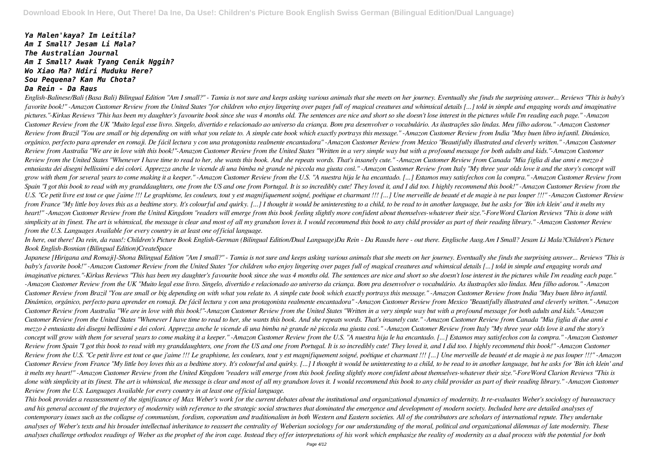*Ya Malen'kaya? Im Leitila? Am I Small? Jesam Li Mala? The Australian Journal Am I Small? Awak Tyang Cenik Nggih? Wo Xiao Ma? Ndiri Muduku Here? Sou Pequena? Kan Mu Chota? Da Rein - Da Raus*

English-Balinese/Bali (Basa Bali) Bilingual Edition "Am I small?" - Tamia is not sure and keeps asking various animals that she meets on her journey. Eventually she finds the surprising answer... Reviews "This is baby's *favorite book!" -Amazon Customer Review from the United States "for children who enjoy lingering over pages full of magical creatures and whimsical details [...] told in simple and engaging words and imaginative pictures."-Kirkus Reviews "This has been my daughter's favourite book since she was 4 months old. The sentences are nice and short so she doesn't lose interest in the pictures while I'm reading each page." -Amazon Customer Review from the UK "Muito legal esse livro. Singelo, divertido e relacionado ao universo da criança. Bom pra desenvolver o vocabulário. As ilustrações são lindas. Meu filho adorou." -Amazon Customer Review from Brazil "You are small or big depending on with what you relate to. A simple cute book which exactly portrays this message." -Amazon Customer Review from India "Muy buen libro infantil. Dinámico, orgánico, perfecto para aprender en romaji. De fácil lectura y con una protagonista realmente encantadora" -Amazon Customer Review from Mexico "Beautifully illustrated and cleverly written." -Amazon Customer Review from Australia "We are in love with this book!"-Amazon Customer Review from the United States "Written in a very simple way but with a profound message for both adults and kids."-Amazon Customer Review from the United States "Whenever I have time to read to her, she wants this book. And she repeats words. That's insanely cute." -Amazon Customer Review from Canada "Mia figlia di due anni e mezzo è entusiasta dei disegni bellissimi e dei colori. Apprezza anche le vicende di una bimba nè grande nè piccola ma giusta così." -Amazon Customer Review from Italy "My three year olds love it and the story's concept will grow with them for several years to come making it a keeper." -Amazon Customer Review from the U.S. "A nuestra hija le ha encantado. [...] Estamos muy satisfechos con la compra." -Amazon Customer Review from Spain "I got this book to read with my granddaughters, one from the US and one from Portugal. It is so incredibly cute! They loved it, and I did too. I highly recommend this book!" -Amazon Customer Review from the* U.S. "Ce petit livre est tout ce que j'aime !!! Le graphisme, les couleurs, tout y est magnifiquement soigné, poétique et charmant !!! [...] Une merveille de beauté et de magie à ne pas louper !!!" -Amazon Customer Review from France "My little boy loves this as a bedtime story. It's colourful and quirky. [...] I thought it would be uninteresting to a child, to be read to in another language, but he asks for 'Bin ich klein' and it melts my *heart!" -Amazon Customer Review from the United Kingdom "readers will emerge from this book feeling slightly more confident about themselves-whatever their size."-ForeWord Clarion Reviews "This is done with simplicity at its finest. The art is whimsical, the message is clear and most of all my grandson loves it. I would recommend this book to any child provider as part of their reading library." -Amazon Customer Review from the U.S. Languages Available for every country in at least one official language.*

*In here, out there! Da rein, da raus!: Children's Picture Book English-German (Bilingual Edition/Dual Language)Da Rein - Da RausIn here - out there. Englische Ausg.Am I Small? Jesam Li Mala?Children's Picture Book English-Bosnian (Bilingual Edition)CreateSpace*

*Japanese [Hirigana and Romaji]-Shona Bilingual Edition "Am I small?" - Tamia is not sure and keeps asking various animals that she meets on her journey. Eventually she finds the surprising answer... Reviews "This is baby's favorite book!" -Amazon Customer Review from the United States "for children who enjoy lingering over pages full of magical creatures and whimsical details [...] told in simple and engaging words and imaginative pictures."-Kirkus Reviews "This has been my daughter's favourite book since she was 4 months old. The sentences are nice and short so she doesn't lose interest in the pictures while I'm reading each page." -Amazon Customer Review from the UK "Muito legal esse livro. Singelo, divertido e relacionado ao universo da criança. Bom pra desenvolver o vocabulário. As ilustrações são lindas. Meu filho adorou." -Amazon Customer Review from Brazil "You are small or big depending on with what you relate to. A simple cute book which exactly portrays this message." -Amazon Customer Review from India "Muy buen libro infantil. Dinámico, orgánico, perfecto para aprender en romaji. De fácil lectura y con una protagonista realmente encantadora" -Amazon Customer Review from Mexico "Beautifully illustrated and cleverly written." -Amazon Customer Review from Australia "We are in love with this book!"-Amazon Customer Review from the United States "Written in a very simple way but with a profound message for both adults and kids."-Amazon Customer Review from the United States "Whenever I have time to read to her, she wants this book. And she repeats words. That's insanely cute." -Amazon Customer Review from Canada "Mia figlia di due anni e mezzo è entusiasta dei disegni bellissimi e dei colori. Apprezza anche le vicende di una bimba nè grande nè piccola ma giusta così." -Amazon Customer Review from Italy "My three year olds love it and the story's concept will grow with them for several years to come making it a keeper." -Amazon Customer Review from the U.S. "A nuestra hija le ha encantado. [...] Estamos muy satisfechos con la compra." -Amazon Customer Review from Spain "I got this book to read with my granddaughters, one from the US and one from Portugal. It is so incredibly cute! They loved it, and I did too. I highly recommend this book!" -Amazon Customer* Review from the U.S. "Ce petit livre est tout ce que j'aime !!! Le graphisme, les couleurs, tout y est magnifiquement soigné, poétique et charmant !!! [...] Une merveille de beauté et de magie à ne pas louper !!!" -Amazon Customer Review from France "My little boy loves this as a bedtime story. It's colourful and quirky, [...] I thought it would be uninteresting to a child, to be read to in another language, but he asks for 'Bin ich klein' *it melts my heart!" -Amazon Customer Review from the United Kingdom "readers will emerge from this book feeling slightly more confident about themselves-whatever their size."-ForeWord Clarion Reviews "This is* done with simplicity at its finest. The art is whimsical, the message is clear and most of all my grandson loves it. I would recommend this book to any child provider as part of their reading library."-Amazon Customer *Review from the U.S. Languages Available for every country in at least one official language.*

*This book provides a reassessment of the significance of Max Weber's work for the current debates about the institutional and organizational dynamics of modernity. It re-evaluates Weber's sociology of bureaucracy and his general account of the trajectory of modernity with reference to the strategic social structures that dominated the emergence and development of modern society. Included here are detailed analyses of contemporary issues such as the collapse of communism, fordism, coporatism and traditionalism in both Western and Eastern societies. All of the contributors are scholars of international repute. They undertake analyses of Weber's texts and his broader intellectual inheritance to reassert the centrality of Weberian sociology for our understanding of the moral, political and organizational dilemmas of late modernity. These analyses challenge orthodox readings of Weber as the prophet of the iron cage. Instead they offer interpretations of his work which emphasize the reality of modernity as a dual process with the potential for both*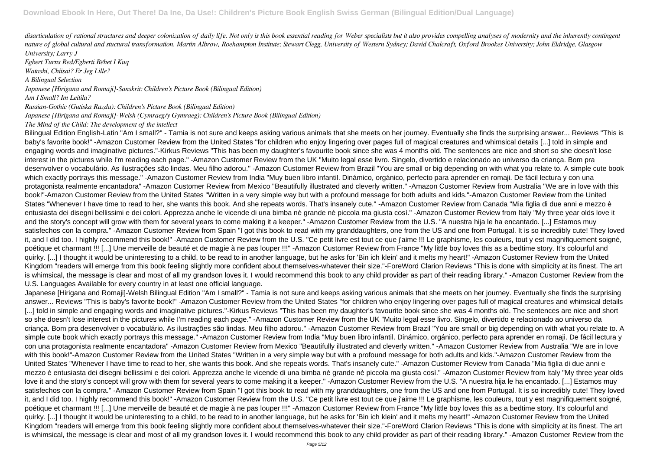disarticulation of rational structures and deeper colonization of daily life. Not only is this book essential reading for Weber specialists but it also provides compelling analyses of modernity and the inherently contingen *nature of global cultural and stuctural transformation. Martin Albrow, Roehampton Institute; Stewart Clegg, University of Western Sydney; David Chalcraft, Oxford Brookes University; John Eldridge, Glasgow University; Larry J*

*Egbert Turns Red/Egberti Bëhet I Kuq*

*Watashi, Chiisai? Er Jeg Lille?*

*A Bilingual Selection*

*Japanese [Hirigana and Romaji]-Sanskrit: Children's Picture Book (Bilingual Edition)*

*Am I Small? Im Leitila?*

*Russian-Gothic (Gutiska Razda): Children's Picture Book (Bilingual Edition)*

*Japanese [Hirigana and Romaji]-Welsh (Cymraeg/y Gymraeg): Children's Picture Book (Bilingual Edition)*

*The Mind of the Child: The development of the intellect*

Bilingual Edition English-Latin "Am I small?" - Tamia is not sure and keeps asking various animals that she meets on her journey. Eventually she finds the surprising answer... Reviews "This is baby's favorite book!" -Amazon Customer Review from the United States "for children who enjoy lingering over pages full of magical creatures and whimsical details [...] told in simple and engaging words and imaginative pictures."-Kirkus Reviews "This has been my daughter's favourite book since she was 4 months old. The sentences are nice and short so she doesn't lose interest in the pictures while I'm reading each page." -Amazon Customer Review from the UK "Muito legal esse livro. Singelo, divertido e relacionado ao universo da criança. Bom pra desenvolver o vocabulário. As ilustrações são lindas. Meu filho adorou." -Amazon Customer Review from Brazil "You are small or big depending on with what you relate to. A simple cute book which exactly portrays this message." -Amazon Customer Review from India "Muy buen libro infantil. Dinámico, orgánico, perfecto para aprender en romaji. De fácil lectura y con una protagonista realmente encantadora" -Amazon Customer Review from Mexico "Beautifully illustrated and cleverly written." -Amazon Customer Review from Australia "We are in love with this book!"-Amazon Customer Review from the United States "Written in a very simple way but with a profound message for both adults and kids."-Amazon Customer Review from the United States "Whenever I have time to read to her, she wants this book. And she repeats words. That's insanely cute." -Amazon Customer Review from Canada "Mia figlia di due anni e mezzo è entusiasta dei disegni bellissimi e dei colori. Apprezza anche le vicende di una bimba nè grande nè piccola ma giusta così." -Amazon Customer Review from Italy "My three year olds love it and the story's concept will grow with them for several years to come making it a keeper." -Amazon Customer Review from the U.S. "A nuestra hija le ha encantado. [...] Estamos muy satisfechos con la compra." -Amazon Customer Review from Spain "I got this book to read with my granddaughters, one from the US and one from Portugal. It is so incredibly cute! They loved it, and I did too. I highly recommend this book!" -Amazon Customer Review from the U.S. "Ce petit livre est tout ce que j'aime !!! Le graphisme, les couleurs, tout y est magnifiquement soigné, poétique et charmant !!! [...] Une merveille de beauté et de magie à ne pas louper !!!" -Amazon Customer Review from France "My little boy loves this as a bedtime story. It's colourful and quirky. [...] I thought it would be uninteresting to a child, to be read to in another language, but he asks for 'Bin ich klein' and it melts my heart!" -Amazon Customer Review from the United Kingdom "readers will emerge from this book feeling slightly more confident about themselves-whatever their size."-ForeWord Clarion Reviews "This is done with simplicity at its finest. The art is whimsical, the message is clear and most of all my grandson loves it. I would recommend this book to any child provider as part of their reading library." -Amazon Customer Review from the U.S. Languages Available for every country in at least one official language.

Japanese [Hirigana and Romaji]-Welsh Bilingual Edition "Am I small?" - Tamia is not sure and keeps asking various animals that she meets on her journey. Eventually she finds the surprising answer... Reviews "This is baby's favorite book!" -Amazon Customer Review from the United States "for children who enjoy lingering over pages full of magical creatures and whimsical details [...] told in simple and engaging words and imaginative pictures."-Kirkus Reviews "This has been my daughter's favourite book since she was 4 months old. The sentences are nice and short so she doesn't lose interest in the pictures while I'm reading each page." -Amazon Customer Review from the UK "Muito legal esse livro. Singelo, divertido e relacionado ao universo da criança. Bom pra desenvolver o vocabulário. As ilustrações são lindas. Meu filho adorou." -Amazon Customer Review from Brazil "You are small or big depending on with what you relate to. A simple cute book which exactly portrays this message." -Amazon Customer Review from India "Muy buen libro infantil. Dinámico, orgánico, perfecto para aprender en romaji. De fácil lectura y con una protagonista realmente encantadora" -Amazon Customer Review from Mexico "Beautifully illustrated and cleverly written." -Amazon Customer Review from Australia "We are in love with this book!"-Amazon Customer Review from the United States "Written in a very simple way but with a profound message for both adults and kids."-Amazon Customer Review from the United States "Whenever I have time to read to her, she wants this book. And she repeats words. That's insanely cute." -Amazon Customer Review from Canada "Mia figlia di due anni e mezzo è entusiasta dei disegni bellissimi e dei colori. Apprezza anche le vicende di una bimba nè grande nè piccola ma giusta così." -Amazon Customer Review from Italy "My three year olds love it and the story's concept will grow with them for several years to come making it a keeper." -Amazon Customer Review from the U.S. "A nuestra hija le ha encantado. [...] Estamos muy satisfechos con la compra." -Amazon Customer Review from Spain "I got this book to read with my granddaughters, one from the US and one from Portugal. It is so incredibly cute! They loved it, and I did too. I highly recommend this book!" -Amazon Customer Review from the U.S. "Ce petit livre est tout ce que j'aime !!! Le graphisme, les couleurs, tout y est magnifiquement soigné, poétique et charmant !!! [...] Une merveille de beauté et de magie à ne pas louper !!!" -Amazon Customer Review from France "My little boy loves this as a bedtime story. It's colourful and quirky. [...] I thought it would be uninteresting to a child, to be read to in another language, but he asks for 'Bin ich klein' and it melts my heart!" -Amazon Customer Review from the United Kingdom "readers will emerge from this book feeling slightly more confident about themselves-whatever their size."-ForeWord Clarion Reviews "This is done with simplicity at its finest. The art is whimsical, the message is clear and most of all my grandson loves it. I would recommend this book to any child provider as part of their reading library." -Amazon Customer Review from the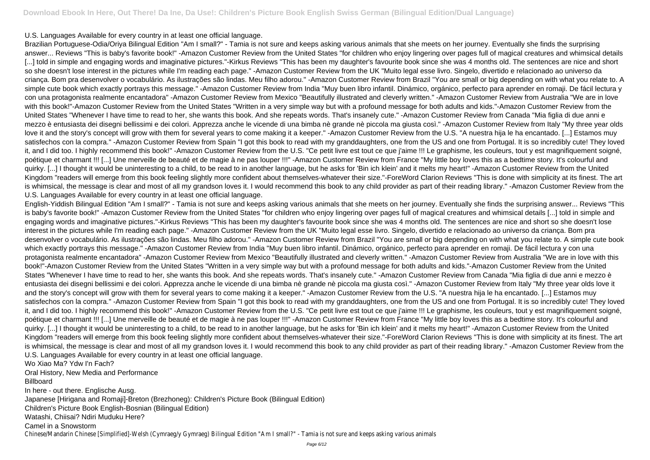## U.S. Languages Available for every country in at least one official language.

Brazilian Portuguese-Odia/Oriya Bilingual Edition "Am I small?" - Tamia is not sure and keeps asking various animals that she meets on her journey. Eventually she finds the surprising answer... Reviews "This is baby's favorite book!" -Amazon Customer Review from the United States "for children who enjoy lingering over pages full of magical creatures and whimsical details [...] told in simple and engaging words and imaginative pictures."-Kirkus Reviews "This has been my daughter's favourite book since she was 4 months old. The sentences are nice and short so she doesn't lose interest in the pictures while I'm reading each page." -Amazon Customer Review from the UK "Muito legal esse livro. Singelo, divertido e relacionado ao universo da criança. Bom pra desenvolver o vocabulário. As ilustrações são lindas. Meu filho adorou." -Amazon Customer Review from Brazil "You are small or big depending on with what you relate to. A simple cute book which exactly portrays this message." -Amazon Customer Review from India "Muy buen libro infantil. Dinámico, orgánico, perfecto para aprender en romaji. De fácil lectura y con una protagonista realmente encantadora" -Amazon Customer Review from Mexico "Beautifully illustrated and cleverly written." -Amazon Customer Review from Australia "We are in love with this book!"-Amazon Customer Review from the United States "Written in a very simple way but with a profound message for both adults and kids."-Amazon Customer Review from the United States "Whenever I have time to read to her, she wants this book. And she repeats words. That's insanely cute." -Amazon Customer Review from Canada "Mia figlia di due anni e mezzo è entusiasta dei disegni bellissimi e dei colori. Apprezza anche le vicende di una bimba nè grande nè piccola ma giusta così." -Amazon Customer Review from Italy "My three year olds love it and the story's concept will grow with them for several years to come making it a keeper." -Amazon Customer Review from the U.S. "A nuestra hija le ha encantado. [...] Estamos muy satisfechos con la compra." -Amazon Customer Review from Spain "I got this book to read with my granddaughters, one from the US and one from Portugal. It is so incredibly cute! They loved it, and I did too. I highly recommend this book!" -Amazon Customer Review from the U.S. "Ce petit livre est tout ce que j'aime !!! Le graphisme, les couleurs, tout y est magnifiquement soigné, poétique et charmant !!! [...] Une merveille de beauté et de magie à ne pas louper !!!" -Amazon Customer Review from France "My little boy loves this as a bedtime story. It's colourful and quirky. [...] I thought it would be uninteresting to a child, to be read to in another language, but he asks for 'Bin ich klein' and it melts my heart!" -Amazon Customer Review from the United Kingdom "readers will emerge from this book feeling slightly more confident about themselves-whatever their size."-ForeWord Clarion Reviews "This is done with simplicity at its finest. The art is whimsical, the message is clear and most of all my grandson loves it. I would recommend this book to any child provider as part of their reading library." -Amazon Customer Review from the U.S. Languages Available for every country in at least one official language.

English-Yiddish Bilingual Edition "Am I small?" - Tamia is not sure and keeps asking various animals that she meets on her journey. Eventually she finds the surprising answer... Reviews "This is baby's favorite book!" -Amazon Customer Review from the United States "for children who enjoy lingering over pages full of magical creatures and whimsical details [...] told in simple and engaging words and imaginative pictures."-Kirkus Reviews "This has been my daughter's favourite book since she was 4 months old. The sentences are nice and short so she doesn't lose interest in the pictures while I'm reading each page." -Amazon Customer Review from the UK "Muito legal esse livro. Singelo, divertido e relacionado ao universo da criança. Bom pra desenvolver o vocabulário. As ilustrações são lindas. Meu filho adorou." -Amazon Customer Review from Brazil "You are small or big depending on with what you relate to. A simple cute book which exactly portrays this message." -Amazon Customer Review from India "Muy buen libro infantil. Dinámico, orgánico, perfecto para aprender en romaji. De fácil lectura y con una protagonista realmente encantadora" -Amazon Customer Review from Mexico "Beautifully illustrated and cleverly written." -Amazon Customer Review from Australia "We are in love with this book!"-Amazon Customer Review from the United States "Written in a very simple way but with a profound message for both adults and kids."-Amazon Customer Review from the United States "Whenever I have time to read to her, she wants this book. And she repeats words. That's insanely cute." -Amazon Customer Review from Canada "Mia figlia di due anni e mezzo è entusiasta dei disegni bellissimi e dei colori. Apprezza anche le vicende di una bimba nè grande nè piccola ma giusta così." -Amazon Customer Review from Italy "My three year olds love it and the story's concept will grow with them for several years to come making it a keeper." -Amazon Customer Review from the U.S. "A nuestra hija le ha encantado. [...] Estamos muy satisfechos con la compra." -Amazon Customer Review from Spain "I got this book to read with my granddaughters, one from the US and one from Portugal. It is so incredibly cute! They loved it, and I did too. I highly recommend this book!" -Amazon Customer Review from the U.S. "Ce petit livre est tout ce que j'aime !!! Le graphisme, les couleurs, tout y est magnifiquement soigné, poétique et charmant !!! [...] Une merveille de beauté et de magie à ne pas louper !!!" -Amazon Customer Review from France "My little boy loves this as a bedtime story. It's colourful and quirky. [...] I thought it would be uninteresting to a child, to be read to in another language, but he asks for 'Bin ich klein' and it melts my heart!" -Amazon Customer Review from the United Kingdom "readers will emerge from this book feeling slightly more confident about themselves-whatever their size."-ForeWord Clarion Reviews "This is done with simplicity at its finest. The art is whimsical, the message is clear and most of all my grandson loves it. I would recommend this book to any child provider as part of their reading library." -Amazon Customer Review from the U.S. Languages Available for every country in at least one official language.

Wo Xiao Ma? Ydw I'n Fach?

Oral History, New Media and Performance

## Billboard

In here - out there. Englische Ausg. Japanese [Hirigana and Romaji]-Breton (Brezhoneg): Children's Picture Book (Bilingual Edition) Children's Picture Book English-Bosnian (Bilingual Edition) Watashi, Chiisai? Ndiri Muduku Here? Camel in a Snowstorm

Chinese/Mandarin Chinese [Simplified]-Welsh (Cymraeg/y Gymraeg) Bilingual Edition "Am I small?" - Tamia is not sure and keeps asking various animals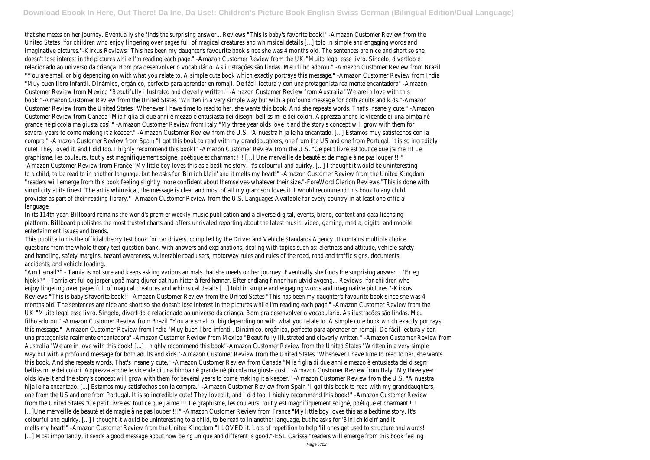that she meets on her journey. Eventually she finds the surprising answer... Reviews "This is baby's favorite book!" -Amazon Customer Review from the United States "for children who enjoy lingering over pages full of magical creatures and whimsical details [...] told in simple and engaging words and imaginative pictures."-Kirkus Reviews "This has been my daughter's favourite book since she was 4 months old. The sentences are nice and short so she doesn't lose interest in the pictures while I'm reading each page." -Amazon Customer Review from the UK "Muito legal esse livro. Singelo, divertido e relacionado ao universo da criança. Bom pra desenvolver o vocabulário. As ilustrações são lindas. Meu filho adorou." -Amazon Customer Review from Brazil "You are small or big depending on with what you relate to. A simple cute book which exactly portrays this message." -Amazon Customer Review from India "Muy buen libro infantil. Dinámico, orgánico, perfecto para aprender en romaji. De fácil lectura y con una protagonista realmente encantadora" -Amazon Customer Review from Mexico "Beautifully illustrated and cleverly written." -Amazon Customer Review from Australia "We are in love with this book!"-Amazon Customer Review from the United States "Written in a very simple way but with a profound message for both adults and kids."-Amazon Customer Review from the United States "Whenever I have time to read to her, she wants this book. And she repeats words. That's insanely cute." -Amazon Customer Review from Canada "Mia figlia di due anni e mezzo è entusiasta dei disegni bellissimi e dei colori. Apprezza anche le vicende di una bimba nè grande nè piccola ma giusta così." -Amazon Customer Review from Italy "My three year olds love it and the story's concept will grow with them for several years to come making it a keeper." -Amazon Customer Review from the U.S. "A nuestra hija le ha encantado. [...] Estamos muy satisfechos con la compra." -Amazon Customer Review from Spain "I got this book to read with my granddaughters, one from the US and one from Portugal. It is so incredibly cute! They loved it, and I did too. I highly recommend this book!" -Amazon Customer Review from the U.S. "Ce petit livre est tout ce que j'aime !!! Le graphisme, les couleurs, tout y est magnifiquement soigné, poétique et charmant !!! [...] Une merveille de beauté et de magie à ne pas louper !!!" -Amazon Customer Review from France "My little boy loves this as a bedtime story. It's colourful and quirky. [...] I thought it would be uninteresting to a child, to be read to in another language, but he asks for 'Bin ich klein' and it melts my heart!" -Amazon Customer Review from the United Kingdom "readers will emerge from this book feeling slightly more confident about themselves-whatever their size."-ForeWord Clarion Reviews "This is done with simplicity at its finest. The art is whimsical, the message is clear and most of all my grandson loves it. I would recommend this book to any child provider as part of their reading library." -Amazon Customer Review from the U.S. Languages Available for every country in at least one official language.

"Am I small?" - Tamia is not sure and keeps asking various animals that she meets on her journey. Eventually she finds the surprising answer... "Er eg hjokk?" - Tamia ert ful og jarper uppå marg djurer dat hun hitter å ferd hennar. Efter endlang finner hun utvid avgeng... Reviews "for children who enjoy lingering over pages full of magical creatures and whimsical details [...] told in simple and engaging words and imaginative pictures."-Kirkus Reviews "This is baby's favorite book!" -Amazon Customer Review from the United States "This has been my daughter's favourite book since she was 4 months old. The sentences are nice and short so she doesn't lose interest in the pictures while I'm reading each page." -Amazon Customer Review from the UK "Muito legal esse livro. Singelo, divertido e relacionado ao universo da criança. Bom pra desenvolver o vocabulário. As ilustrações são lindas. Meu filho adorou." -Amazon Customer Review from Brazil "You are small or big depending on with what you relate to. A simple cute book which exactly portrays this message." -Amazon Customer Review from India "Muy buen libro infantil. Dinámico, orgánico, perfecto para aprender en romaji. De fácil lectura y con una protagonista realmente encantadora" -Amazon Customer Review from Mexico "Beautifully illustrated and cleverly written." -Amazon Customer Review from Australia "We are in love with this book! [...] I highly recommend this book"-Amazon Customer Review from the United States "Written in a very simple way but with a profound message for both adults and kids."-Amazon Customer Review from the United States "Whenever I have time to read to her, she wants this book. And she repeats words. That's insanely cute." -Amazon Customer Review from Canada "Mia figlia di due anni e mezzo è entusiasta dei disegni bellissimi e dei colori. Apprezza anche le vicende di una bimba nè grande nè piccola ma giusta così." -Amazon Customer Review from Italy "My three year olds love it and the story's concept will grow with them for several years to come making it a keeper." -Amazon Customer Review from the U.S. "A nuestra hija le ha encantado. [...] Estamos muy satisfechos con la compra." -Amazon Customer Review from Spain "I got this book to read with my granddaughters one from the US and one from Portugal. It is so incredibly cute! They loved it, and I did too. I highly recommend this book!" -Amazon Customer Review from the United States "Ce petit livre est tout ce que j'aime !!! Le graphisme, les couleurs, tout y est magnifiquement soigné, poétique et charmant !!! [...]Une merveille de beauté et de magie à ne pas louper !!!" -Amazon Customer Review from France "My little boy loves this as a bedtime story. It's colourful and quirky. [...] I thought it would be uninteresting to a child, to be read to in another language, but he asks for 'Bin ich klein' and it melts my heart!" -Amazon Customer Review from the United Kingdom "I LOVED it. Lots of repetition to help 'lil ones get used to structure and words! [...] Most importantly, it sends a good message about how being unique and different is good."-ESL Carissa "readers will emerge from this book feeling

In its 114th year, Billboard remains the world's premier weekly music publication and a diverse digital, events, brand, content and data licensing platform. Billboard publishes the most trusted charts and offers unrivaled reporting about the latest music, video, gaming, media, digital and mobile entertainment issues and trends.

This publication is the official theory test book for car drivers, compiled by the Driver and Vehicle Standards Agency. It contains multiple choice questions from the whole theory test question bank, with answers and explanations, dealing with topics such as: alertness and attitude, vehicle safety and handling, safety margins, hazard awareness, vulnerable road users, motorway rules and rules of the road, road and traffic signs, documents, accidents, and vehicle loading.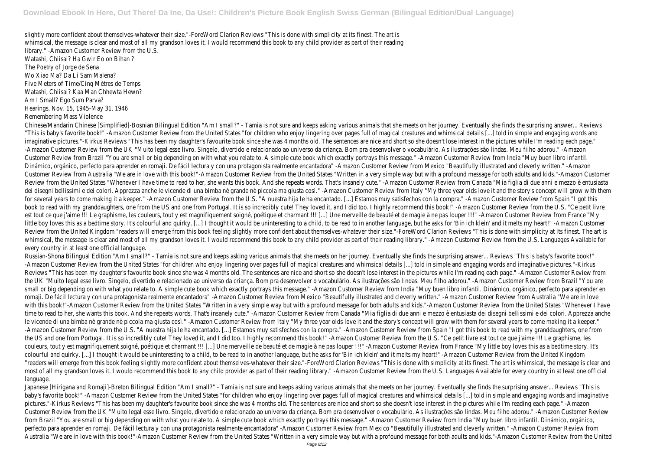slightly more confident about themselves-whatever their size."-ForeWord Clarion Reviews "This is done with simplicity at its finest. The art is whimsical, the message is clear and most of all my grandson loves it. I would recommend this book to any child provider as part of their reading library." -Amazon Customer Review from the U.S.

Watashi, Chiisai? Ha Gwir Eo on Bihan ? The Poetry of Jorge de Sena Wo Xiao Ma? Da Li Sam Malena? Five Meters of Time/Cinq Mètres de Temps Watashi, Chiisai? Kaa Man Chhewta Hewn? Am I Small? Ego Sum Parva? Hearings, Nov. 15, 1945-May 31, 1946 Remembering Mass Violence

Chinese/Mandarin Chinese [Simplified]-Bosnian Bilingual Edition "Am I small?" - Tamia is not sure and keeps asking various animals that she meets on her journey. Eventually she finds the surprising answer... Reviews "This is baby's favorite book!" -Amazon Customer Review from the United States "for children who enjoy lingering over pages full of magical creatures and whimsical details [...] told in simple and engaging words and imaginative pictures."-Kirkus Reviews "This has been my daughter's favourite book since she was 4 months old. The sentences are nice and short so she doesn't lose interest in the pictures while I'm reading each page." -Amazon Customer Review from the UK "Muito legal esse livro. Singelo, divertido e relacionado ao universo da criança. Bom pra desenvolver o vocabulário. As ilustrações são lindas. Meu filho adorou." -Amazon Customer Review from Brazil "You are small or big depending on with what you relate to. A simple cute book which exactly portrays this message." -Amazon Customer Review from India "Muy buen libro infantil. Dinámico, orgánico, perfecto para aprender en romaji. De fácil lectura y con una protagonista realmente encantadora" -Amazon Customer Review from Mexico "Beautifully illustrated and cleverly written." -Amazon Customer Review from Australia "We are in love with this book!"-Amazon Customer Review from the United States "Written in a very simple way but with a profound message for both adults and kids."-Amazon Customer Review from the United States "Whenever I have time to read to her, she wants this book. And she repeats words. That's insanely cute." -Amazon Customer Review from Canada "Mia figlia di due anni e mezzo è entusiasta dei disegni bellissimi e dei colori. Apprezza anche le vicende di una bimba nè grande nè piccola ma giusta così." -Amazon Customer Review from Italy "My three year olds love it and the story's concept will grow with them for several years to come making it a keeper." -Amazon Customer Review from the U.S. "A nuestra hija le ha encantado. [...] Estamos muy satisfechos con la compra." -Amazon Customer Review from Spain "I got this book to read with my granddaughters, one from the US and one from Portugal. It is so incredibly cute! They loved it, and I did too. I highly recommend this book!" -Amazon Customer Review from the U.S. "Ce petit livre est tout ce que j'aime !!! Le graphisme, les couleurs, tout y est magnifiquement soigné, poétique et charmant !!! [...] Une merveille de beauté et de magie à ne pas louper !!!" -Amazon Customer Review from France "My little boy loves this as a bedtime story. It's colourful and quirky. [...] I thought it would be uninteresting to a child, to be read to in another language, but he asks for 'Bin ich klein' and it melts my heart!" -Amazon Review from the United Kingdom "readers will emerge from this book feeling slightly more confident about themselves-whatever their size."-ForeWord Clarion Reviews "This is done with simplicity at its finest. The art is whimsical, the message is clear and most of all my grandson loves it. I would recommend this book to any child provider as part of their reading library." -Amazon Customer Review from the U.S. Languages Available for every country in at least one official language.

Russian-Shona Bilingual Edition "Am I small?" - Tamia is not sure and keeps asking various animals that she meets on her journey. Eventually she finds the surprising answer... Reviews "This is baby's favorite book!" -Amazon Customer Review from the United States "for children who enjoy lingering over pages full of magical creatures and whimsical details [...] told in simple and engaging words and imaginative pictures."-Kirkus Reviews "This has been my daughter's favourite book since she was 4 months old. The sentences are nice and short so she doesn't lose interest in the pictures while I'm reading each page." -Amazon Customer Review from the UK "Muito legal esse livro. Singelo, divertido e relacionado ao universo da criança. Bom pra desenvolver o vocabulário. As ilustrações são lindas. Meu filho adorou." -Amazon Customer Review from Brazil "You are small or big depending on with what you relate to. A simple cute book which exactly portrays this message." -Amazon Customer Review from India "Muy buen libro infantil. Dinámico, orgánico, perfecto para aprender en romaji. De fácil lectura y con una protagonista realmente encantadora" -Amazon Customer Review from Mexico "Beautifully illustrated and cleverly written." -Amazon Customer Review from Australia "We are in love with this book!"-Amazon Customer Review from the United States "Written in a very simple way but with a profound message for both adults and kids."-Amazon Customer Review from the United States "Whenever I have time to read to her, she wants this book. And she repeats words. That's insanely cute." -Amazon Customer Review from Canada "Mia figlia di due anni e mezzo è entusiasta dei disegni bellissimi e dei colori. Apprezza anche le vicende di una bimba nè grande nè piccola ma giusta così." -Amazon Customer Review from Italy "My three year olds love it and the story's concept will grow with them for several years to come making it a keeper." -Amazon Customer Review from the U.S. "A nuestra hija le ha encantado. [...] Estamos muy satisfechos con la compra." -Amazon Customer Review from Spain "I got this book to read with my granddaughters, one from the US and one from Portugal. It is so incredibly cute! They loved it, and I did too. I highly recommend this book!" -Amazon Customer Review from the U.S. "Ce petit livre est tout ce que j'aime !!! Le graphisme, les couleurs, tout y est magnifiquement soigné, poétique et charmant !!! [...] Une merveille de beauté et de magie à ne pas louper !!!" -Amazon Customer Review from France "My little boy loves this as a bedtime story. It's colourful and quirky. [...] I thought it would be uninteresting to a child, to be read to in another language, but he asks for 'Bin ich klein' and it melts my heart!" -Amazon Customer Review from the United Kingdom "readers will emerge from this book feeling slightly more confident about themselves-whatever their size."-ForeWord Clarion Reviews "This is done with simplicity at its finest. The art is whimsical, the message is clear and most of all my grandson loves it. I would recommend this book to any child provider as part of their reading library." -Amazon Customer Review from the U.S. Languages Available for every country in at least one official language.

Japanese [Hirigana and Romaji]-Breton Bilingual Edition "Am I small?" - Tamia is not sure and keeps asking various animals that she meets on her journey. Eventually she finds the surprising answer... Reviews "This is baby's favorite book!" -Amazon Customer Review from the United States "for children who enjoy lingering over pages full of magical creatures and whimsical details [...] told in simple and engaging words and imaginative pictures."-Kirkus Reviews "This has been my daughter's favourite book since she was 4 months old. The sentences are nice and short so she doesn't lose interest in the pictures while I'm reading each page." -Amazon Customer Review from the UK "Muito legal esse livro. Singelo, divertido e relacionado ao universo da criança. Bom pra desenvolver o vocabulário. As ilustrações são lindas. Meu filho adorou." -Amazon Customer Review from Brazil "You are small or big depending on with what you relate to. A simple cute book which exactly portrays this message." -Amazon Customer Review from India "Muy buen libro infantil. Dinámico, orgánico, perfecto para aprender en romaji. De fácil lectura y con una protagonista realmente encantadora" -Amazon Customer Review from Mexico "Beautifully illustrated and cleverly written." -Amazon Customer Review from Australia "We are in love with this book!"-Amazon Customer Review from the United States "Written in a very simple way but with a profound message for both adults and kids."-Amazon Customer Review from the United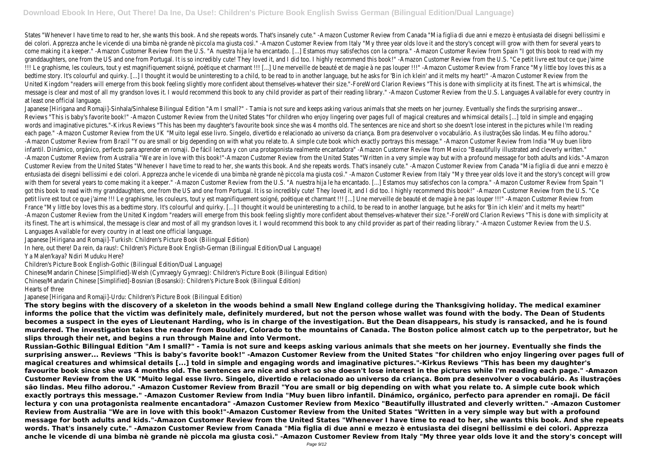States "Whenever I have time to read to her, she wants this book. And she repeats words. That's insanely cute." -Amazon Customer Review from Canada "Mia figlia di due anni e mezzo è entusiasta dei disegni bellissimi e dei colori. Apprezza anche le vicende di una bimba nè grande nè piccola ma giusta così." -Amazon Customer Review from Italy "My three year olds love it and the story's concept will grow with them for several years to come making it a keeper." -Amazon Customer Review from the U.S. "A nuestra hija le ha encantado. [...] Estamos muy satisfechos con la compra." -Amazon Customer Review from Spain "I got this book to read with my granddaughters, one from the US and one from Portugal. It is so incredibly cute! They loved it, and I did too. I highly recommend this book!" -Amazon Customer Review from the U.S. "Ce petit livre est tout ce que j'aime !!! Le graphisme, les couleurs, tout y est magnifiquement soigné, poétique et charmant !!! [...] Une merveille de beauté et de magie à ne pas louper !!!" -Amazon Customer Review from France "My little boy loves this as a bedtime story. It's colourful and quirky. [...] I thought it would be uninteresting to a child, to be read to in another language, but he asks for 'Bin ich klein' and it melts my heart!" -Amazon Customer Review from the United Kingdom "readers will emerge from this book feeling slightly more confident about themselves-whatever their size."-ForeWord Clarion Reviews "This is done with simplicity at its finest. The art is whimsical, the message is clear and most of all my grandson loves it. I would recommend this book to any child provider as part of their reading library." -Amazon Customer Review from the U.S. Languages Available for every country in at least one official language. Japanese [Hirigana and Romaji]-Sinhala/Sinhalese Bilingual Edition "Am I small?" - Tamia is not sure and keeps asking various animals that she meets on her journey. Eventually she finds the surprising answer... Reviews "This is baby's favorite book!" -Amazon Customer Review from the United States "for children who enjoy lingering over pages full of magical creatures and whimsical details [...] told in simple and engaging

words and imaginative pictures."-Kirkus Reviews "This has been my daughter's favourite book since she was 4 months old. The sentences are nice and short so she doesn't lose interest in the pictures while I'm reading each page." -Amazon Customer Review from the UK "Muito legal esse livro. Singelo, divertido e relacionado ao universo da criança. Bom pra desenvolver o vocabulário. As ilustrações são lindas. Meu filho adorou." -Amazon Customer Review from Brazil "You are small or big depending on with what you relate to. A simple cute book which exactly portrays this message." -Amazon Customer Review from India "Muy buen libro infantil. Dinámico, orgánico, perfecto para aprender en romaji. De fácil lectura y con una protagonista realmente encantadora" -Amazon Customer Review from Mexico "Beautifully illustrated and cleverly written." -Amazon Customer Review from Australia "We are in love with this book!"-Amazon Customer Review from the United States "Written in a very simple way but with a profound message for both adults and kids."-Amazon Customer Review from the United States "Whenever I have time to read to her, she wants this book. And she repeats words. That's insanely cute." -Amazon Customer Review from Canada "Mia figlia di due anni e mezzo è entusiasta dei disegni bellissimi e dei colori. Apprezza anche le vicende di una bimba nè grande nè piccola ma giusta così." -Amazon Customer Review from Italy "My three year olds love it and the story's concept will grow with them for several years to come making it a keeper." -Amazon Customer Review from the U.S. "A nuestra hija le ha encantado. [...] Estamos muy satisfechos con la compra." -Amazon Customer Review from Spain "I got this book to read with my granddaughters, one from the US and one from Portugal. It is so incredibly cute! They loved it, and I did too. I highly recommend this book!" -Amazon Customer Review from the U.S. "Ce petit livre est tout ce que l'aime !!! Le graphisme, les couleurs, tout y est magnifiquement soigné, poétique et charmant !!! [...] Une merveille de beauté et de magie à ne pas louper !!!" -Amazon Customer Review from France "My little boy loves this as a bedtime story. It's colourful and quirky. [...] I thought it would be uninteresting to a child, to be read to in another language, but he asks for 'Bin ich klein' and it melts my heart -Amazon Customer Review from the United Kingdom "readers will emerge from this book feeling slightly more confident about themselves-whatever their size."-ForeWord Clarion Reviews "This is done with simplicity at its finest. The art is whimsical, the message is clear and most of all my grandson loves it. I would recommend this book to any child provider as part of their reading library." -Amazon Customer Review from the U.S. Languages Available for every country in at least one official language.

Japanese [Hirigana and Romaji]-Turkish: Children's Picture Book (Bilingual Edition)

In here, out there! Da rein, da raus!: Children's Picture Book English-German (Bilingual Edition/Dual Language)

Ya Malen'kaya? Ndiri Muduku Here?

Children's Picture Book English-Gothic (Bilingual Edition/Dual Language)

Chinese/Mandarin Chinese [Simplified]-Welsh (Cymraeg/y Gymraeg): Children's Picture Book (Bilingual Edition)

Chinese/Mandarin Chinese [Simplified]-Bosnian (Bosanski): Children's Picture Book (Bilingual Edition)

Hearts of three

Japanese [Hirigana and Romaji]-Urdu: Children's Picture Book (Bilingual Edition)

**The story begins with the discovery of a skeleton in the woods behind a small New England college during the Thanksgiving holiday. The medical examiner informs the police that the victim was definitely male, definitely murdered, but not the person whose wallet was found with the body. The Dean of Students becomes a suspect in the eyes of Lieutenant Harding, who is in charge of the investigation. But the Dean disappears, his study is ransacked, and he is found murdered. The investigation takes the reader from Boulder, Colorado to the mountains of Canada. The Boston police almost catch up to the perpetrator, but he slips through their net, and begins a run through Maine and into Vermont.**

**Russian-Gothic Bilingual Edition "Am I small?" - Tamia is not sure and keeps asking various animals that she meets on her journey. Eventually she finds the surprising answer... Reviews "This is baby's favorite book!" -Amazon Customer Review from the United States "for children who enjoy lingering over pages full of magical creatures and whimsical details [...] told in simple and engaging words and imaginative pictures."-Kirkus Reviews "This has been my daughter's favourite book since she was 4 months old. The sentences are nice and short so she doesn't lose interest in the pictures while I'm reading each page." -Amazon Customer Review from the UK "Muito legal esse livro. Singelo, divertido e relacionado ao universo da criança. Bom pra desenvolver o vocabulário. As ilustrações são lindas. Meu filho adorou." -Amazon Customer Review from Brazil "You are small or big depending on with what you relate to. A simple cute book which exactly portrays this message." -Amazon Customer Review from India "Muy buen libro infantil. Dinámico, orgánico, perfecto para aprender en romaji. De fácil lectura y con una protagonista realmente encantadora" -Amazon Customer Review from Mexico "Beautifully illustrated and cleverly written." -Amazon Customer Review from Australia "We are in love with this book!"-Amazon Customer Review from the United States "Written in a very simple way but with a profound message for both adults and kids."-Amazon Customer Review from the United States "Whenever I have time to read to her, she wants this book. And she repeats words. That's insanely cute." -Amazon Customer Review from Canada "Mia figlia di due anni e mezzo è entusiasta dei disegni bellissimi e dei colori. Apprezza anche le vicende di una bimba nè grande nè piccola ma giusta così." -Amazon Customer Review from Italy "My three year olds love it and the story's concept will**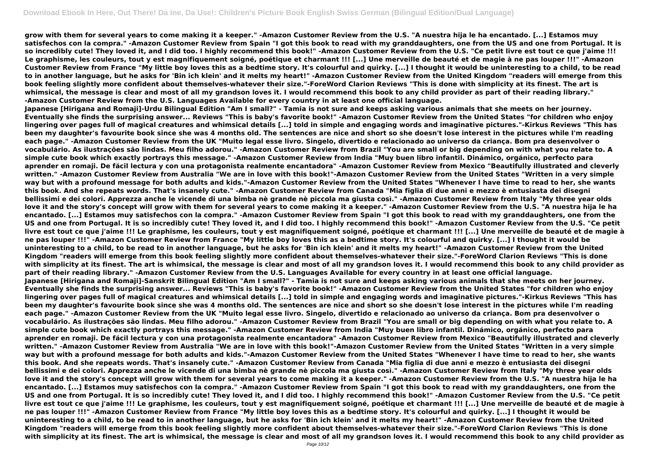**grow with them for several years to come making it a keeper." -Amazon Customer Review from the U.S. "A nuestra hija le ha encantado. [...] Estamos muy satisfechos con la compra." -Amazon Customer Review from Spain "I got this book to read with my granddaughters, one from the US and one from Portugal. It is so incredibly cute! They loved it, and I did too. I highly recommend this book!" -Amazon Customer Review from the U.S. "Ce petit livre est tout ce que j'aime !!! Le graphisme, les couleurs, tout y est magnifiquement soigné, poétique et charmant !!! [...] Une merveille de beauté et de magie à ne pas louper !!!" -Amazon Customer Review from France "My little boy loves this as a bedtime story. It's colourful and quirky. [...] I thought it would be uninteresting to a child, to be read to in another language, but he asks for 'Bin ich klein' and it melts my heart!" -Amazon Customer Review from the United Kingdom "readers will emerge from this book feeling slightly more confident about themselves-whatever their size."-ForeWord Clarion Reviews "This is done with simplicity at its finest. The art is whimsical, the message is clear and most of all my grandson loves it. I would recommend this book to any child provider as part of their reading library." -Amazon Customer Review from the U.S. Languages Available for every country in at least one official language. Japanese [Hirigana and Romaji]-Urdu Bilingual Edition "Am I small?" - Tamia is not sure and keeps asking various animals that she meets on her journey. Eventually she finds the surprising answer... Reviews "This is baby's favorite book!" -Amazon Customer Review from the United States "for children who enjoy lingering over pages full of magical creatures and whimsical details [...] told in simple and engaging words and imaginative pictures."-Kirkus Reviews "This has been my daughter's favourite book since she was 4 months old. The sentences are nice and short so she doesn't lose interest in the pictures while I'm reading each page." -Amazon Customer Review from the UK "Muito legal esse livro. Singelo, divertido e relacionado ao universo da criança. Bom pra desenvolver o vocabulário. As ilustrações são lindas. Meu filho adorou." -Amazon Customer Review from Brazil "You are small or big depending on with what you relate to. A simple cute book which exactly portrays this message." -Amazon Customer Review from India "Muy buen libro infantil. Dinámico, orgánico, perfecto para aprender en romaji. De fácil lectura y con una protagonista realmente encantadora" -Amazon Customer Review from Mexico "Beautifully illustrated and cleverly written." -Amazon Customer Review from Australia "We are in love with this book!"-Amazon Customer Review from the United States "Written in a very simple way but with a profound message for both adults and kids."-Amazon Customer Review from the United States "Whenever I have time to read to her, she wants this book. And she repeats words. That's insanely cute." -Amazon Customer Review from Canada "Mia figlia di due anni e mezzo è entusiasta dei disegni bellissimi e dei colori. Apprezza anche le vicende di una bimba nè grande nè piccola ma giusta così." -Amazon Customer Review from Italy "My three year olds love it and the story's concept will grow with them for several years to come making it a keeper." -Amazon Customer Review from the U.S. "A nuestra hija le ha encantado. [...] Estamos muy satisfechos con la compra." -Amazon Customer Review from Spain "I got this book to read with my granddaughters, one from the US and one from Portugal. It is so incredibly cute! They loved it, and I did too. I highly recommend this book!" -Amazon Customer Review from the U.S. "Ce petit livre est tout ce que j'aime !!! Le graphisme, les couleurs, tout y est magnifiquement soigné, poétique et charmant !!! [...] Une merveille de beauté et de magie à ne pas louper !!!" -Amazon Customer Review from France "My little boy loves this as a bedtime story. It's colourful and quirky. [...] I thought it would be uninteresting to a child, to be read to in another language, but he asks for 'Bin ich klein' and it melts my heart!" -Amazon Customer Review from the United Kingdom "readers will emerge from this book feeling slightly more confident about themselves-whatever their size."-ForeWord Clarion Reviews "This is done with simplicity at its finest. The art is whimsical, the message is clear and most of all my grandson loves it. I would recommend this book to any child provider as part of their reading library." -Amazon Customer Review from the U.S. Languages Available for every country in at least one official language. Japanese [Hirigana and Romaji]-Sanskrit Bilingual Edition "Am I small?" - Tamia is not sure and keeps asking various animals that she meets on her journey. Eventually she finds the surprising answer... Reviews "This is baby's favorite book!" -Amazon Customer Review from the United States "for children who enjoy lingering over pages full of magical creatures and whimsical details [...] told in simple and engaging words and imaginative pictures."-Kirkus Reviews "This has been my daughter's favourite book since she was 4 months old. The sentences are nice and short so she doesn't lose interest in the pictures while I'm reading each page." -Amazon Customer Review from the UK "Muito legal esse livro. Singelo, divertido e relacionado ao universo da criança. Bom pra desenvolver o vocabulário. As ilustrações são lindas. Meu filho adorou." -Amazon Customer Review from Brazil "You are small or big depending on with what you relate to. A simple cute book which exactly portrays this message." -Amazon Customer Review from India "Muy buen libro infantil. Dinámico, orgánico, perfecto para aprender en romaji. De fácil lectura y con una protagonista realmente encantadora" -Amazon Customer Review from Mexico "Beautifully illustrated and cleverly written." -Amazon Customer Review from Australia "We are in love with this book!"-Amazon Customer Review from the United States "Written in a very simple way but with a profound message for both adults and kids."-Amazon Customer Review from the United States "Whenever I have time to read to her, she wants this book. And she repeats words. That's insanely cute." -Amazon Customer Review from Canada "Mia figlia di due anni e mezzo è entusiasta dei disegni bellissimi e dei colori. Apprezza anche le vicende di una bimba nè grande nè piccola ma giusta così." -Amazon Customer Review from Italy "My three year olds love it and the story's concept will grow with them for several years to come making it a keeper." -Amazon Customer Review from the U.S. "A nuestra hija le ha encantado. [...] Estamos muy satisfechos con la compra." -Amazon Customer Review from Spain "I got this book to read with my granddaughters, one from the US and one from Portugal. It is so incredibly cute! They loved it, and I did too. I highly recommend this book!" -Amazon Customer Review from the U.S. "Ce petit livre est tout ce que j'aime !!! Le graphisme, les couleurs, tout y est magnifiquement soigné, poétique et charmant !!! [...] Une merveille de beauté et de magie à ne pas louper !!!" -Amazon Customer Review from France "My little boy loves this as a bedtime story. It's colourful and quirky. [...] I thought it would be uninteresting to a child, to be read to in another language, but he asks for 'Bin ich klein' and it melts my heart!" -Amazon Customer Review from the United Kingdom "readers will emerge from this book feeling slightly more confident about themselves-whatever their size."-ForeWord Clarion Reviews "This is done with simplicity at its finest. The art is whimsical, the message is clear and most of all my grandson loves it. I would recommend this book to any child provider as**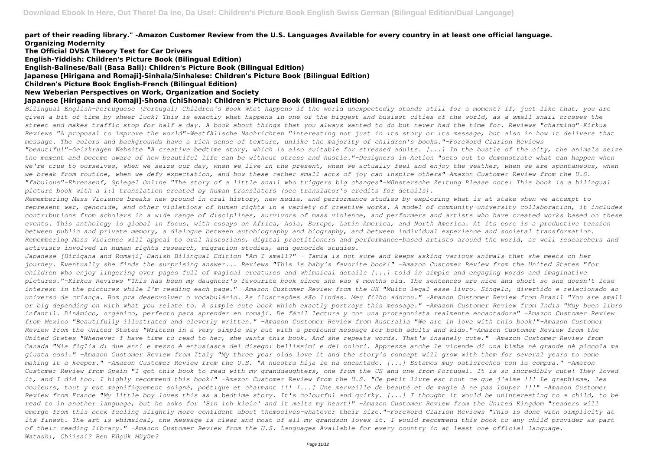**part of their reading library." -Amazon Customer Review from the U.S. Languages Available for every country in at least one official language. Organizing Modernity**

**The Official DVSA Theory Test for Car Drivers English-Yiddish: Children's Picture Book (Bilingual Edition) English-Balinese/Bali (Basa Bali): Children's Picture Book (Bilingual Edition) Japanese [Hirigana and Romaji]-Sinhala/Sinhalese: Children's Picture Book (Bilingual Edition) Children's Picture Book English-French (Bilingual Edition) New Weberian Perspectives on Work, Organization and Society Japanese [Hirigana and Romaji]-Shona (chiShona): Children's Picture Book (Bilingual Edition)**

*Bilingual English-Portuguese (Portugal) Children's Book What happens if the world unexpectedly stands still for a moment? If, just like that, you are given a bit of time by sheer luck? This is exactly what happens in one of the biggest and busiest cities of the world, as a small snail crosses the street and makes traffic stop for half a day. A book about things that you always wanted to do but never had the time for. Reviews "charming"-Kirkus Reviews "A proposal to improve the world"-Westfälische Nachrichten "interesting not just in its story or its message, but also in how it delivers that message. The colors and backgrounds have a rich sense of texture, unlike the majority of children's books."-ForeWord Clarion Reviews "beautiful"-Geizkragen Website "A creative bedtime story, which is also suitable for stressed adults. [...] In the bustle of the city, the animals seize the moment and become aware of how beautiful life can be without stress and hustle."-Designers in Action "sets out to demonstrate what can happen when we're true to ourselves, when we seize our day, when we live in the present, when we actually feel and enjoy the weather, when we are spontaneous, when we break from routine, when we defy expectation, and how these rather small acts of joy can inspire others"-Amazon Customer Review from the U.S. "fabulous"-Ehrensenf, Spiegel Online "The story of a little snail who triggers big changes"-Münstersche Zeitung Please note: This book is a bilingual picture book with a 1:1 translation created by human translators (see translator's credits for details).*

*Remembering Mass Violence breaks new ground in oral history, new media, and performance studies by exploring what is at stake when we attempt to represent war, genocide, and other violations of human rights in a variety of creative works. A model of community-university collaboration, it includes contributions from scholars in a wide range of disciplines, survivors of mass violence, and performers and artists who have created works based on these events. This anthology is global in focus, with essays on Africa, Asia, Europe, Latin America, and North America. At its core is a productive tension between public and private memory, a dialogue between autobiography and biography, and between individual experience and societal transformation. Remembering Mass Violence will appeal to oral historians, digital practitioners and performance-based artists around the world, as well researchers and activists involved in human rights research, migration studies, and genocide studies.*

*Japanese [Hirigana and Romaji]-Danish Bilingual Edition "Am I small?" - Tamia is not sure and keeps asking various animals that she meets on her journey. Eventually she finds the surprising answer... Reviews "This is baby's favorite book!" -Amazon Customer Review from the United States "for children who enjoy lingering over pages full of magical creatures and whimsical details [...] told in simple and engaging words and imaginative pictures."-Kirkus Reviews "This has been my daughter's favourite book since she was 4 months old. The sentences are nice and short so she doesn't lose interest in the pictures while I'm reading each page." -Amazon Customer Review from the UK "Muito legal esse livro. Singelo, divertido e relacionado ao universo da criança. Bom pra desenvolver o vocabulário. As ilustrações são lindas. Meu filho adorou." -Amazon Customer Review from Brazil "You are small or big depending on with what you relate to. A simple cute book which exactly portrays this message." -Amazon Customer Review from India "Muy buen libro infantil. Dinámico, orgánico, perfecto para aprender en romaji. De fácil lectura y con una protagonista realmente encantadora" -Amazon Customer Review from Mexico "Beautifully illustrated and cleverly written." -Amazon Customer Review from Australia "We are in love with this book!"-Amazon Customer Review from the United States "Written in a very simple way but with a profound message for both adults and kids."-Amazon Customer Review from the United States "Whenever I have time to read to her, she wants this book. And she repeats words. That's insanely cute." -Amazon Customer Review from Canada "Mia figlia di due anni e mezzo è entusiasta dei disegni bellissimi e dei colori. Apprezza anche le vicende di una bimba nè grande nè piccola ma giusta così." -Amazon Customer Review from Italy "My three year olds love it and the story's concept will grow with them for several years to come making it a keeper." -Amazon Customer Review from the U.S. "A nuestra hija le ha encantado. [...] Estamos muy satisfechos con la compra." -Amazon Customer Review from Spain "I got this book to read with my granddaughters, one from the US and one from Portugal. It is so incredibly cute! They loved it, and I did too. I highly recommend this book!" -Amazon Customer Review from the U.S. "Ce petit livre est tout ce que j'aime !!! Le graphisme, les couleurs, tout y est magnifiquement soigné, poétique et charmant !!! [...] Une merveille de beauté et de magie à ne pas louper !!!" -Amazon Customer Review from France "My little boy loves this as a bedtime story. It's colourful and quirky. [...] I thought it would be uninteresting to a child, to be read to in another language, but he asks for 'Bin ich klein' and it melts my heart!" -Amazon Customer Review from the United Kingdom "readers will emerge from this book feeling slightly more confident about themselves-whatever their size."-ForeWord Clarion Reviews "This is done with simplicity at its finest. The art is whimsical, the message is clear and most of all my grandson loves it. I would recommend this book to any child provider as part of their reading library." -Amazon Customer Review from the U.S. Languages Available for every country in at least one official language. Watashi, Chiisai? Ben Küçük Müyüm?*